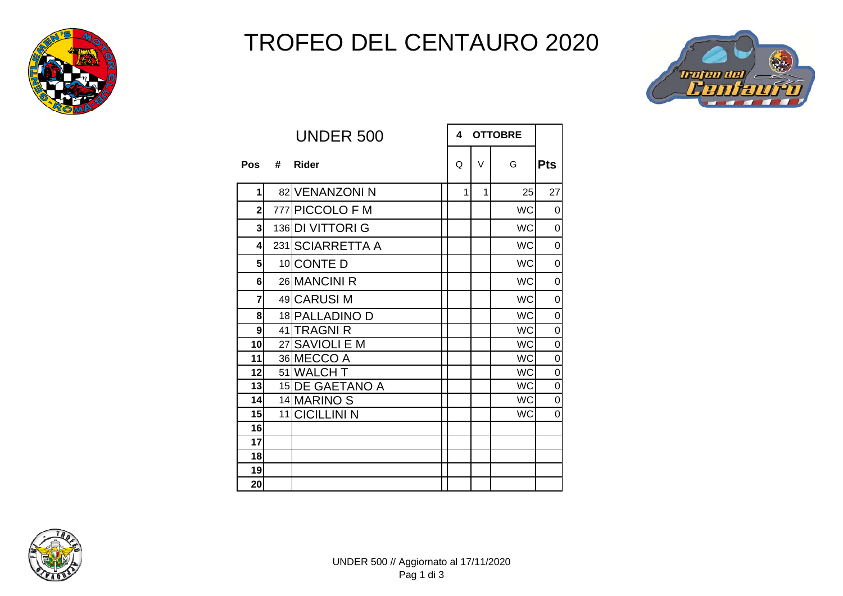

## TROFEO DEL CENTAURO 2020



|                         |   | <b>UNDER 500</b> | <b>OTTOBRE</b><br>4 |        |           |                |
|-------------------------|---|------------------|---------------------|--------|-----------|----------------|
| Pos                     | # | <b>Rider</b>     | Q                   | $\vee$ | G         | <b>Pts</b>     |
| 1                       |   | 82 VENANZONIN    | 1                   | 1      | 25        | 27             |
| $\overline{2}$          |   | 777 PICCOLO F M  |                     |        | <b>WC</b> | 0              |
| 3                       |   | 136 DI VITTORI G |                     |        | <b>WC</b> | 0              |
| $\overline{\mathbf{A}}$ |   | 231 SCIARRETTA A |                     |        | <b>WC</b> | 0              |
| 5                       |   | 10 CONTE D       |                     |        | <b>WC</b> | $\overline{0}$ |
| $6\overline{6}$         |   | 26 MANCINI R     |                     |        | <b>WC</b> | 0              |
| 7                       |   | 49 CARUSI M      |                     |        | <b>WC</b> | $\overline{0}$ |
| 8                       |   | 18 PALLADINO D   |                     |        | <b>WC</b> | $\mathbf 0$    |
| 9                       |   | 41 TRAGNI R      |                     |        | <b>WC</b> | 0              |
| 10                      |   | 27 SAVIOLI E M   |                     |        | <b>WC</b> | 0              |
| 11                      |   | 36 MECCO A       |                     |        | <b>WC</b> | $\mathbf 0$    |
| 12                      |   | 51 WALCH T       |                     |        | <b>WC</b> | $\overline{0}$ |
| 13                      |   | 15 DE GAETANO A  |                     |        | <b>WC</b> | $\overline{0}$ |
| 14                      |   | 14 MARINO S      |                     |        | <b>WC</b> | 0              |
| 15                      |   | 11 CICILLINI N   |                     |        | <b>WC</b> | 0              |
| 16                      |   |                  |                     |        |           |                |
| 17                      |   |                  |                     |        |           |                |
| 18                      |   |                  |                     |        |           |                |
| 19                      |   |                  |                     |        |           |                |
| 20                      |   |                  |                     |        |           |                |

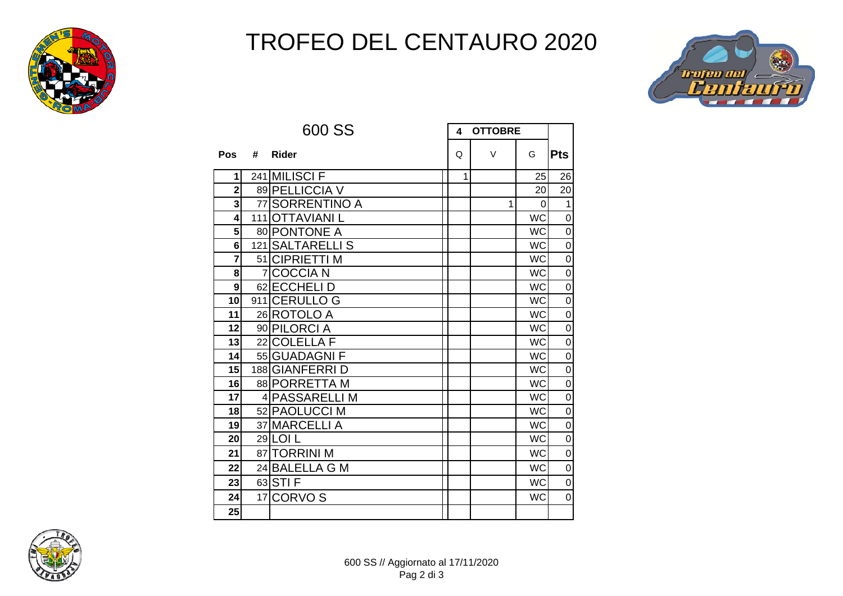

## TROFEO DEL CENTAURO 2020



|                |                | 600 SS           | 4 | <b>OTTOBRE</b> |           |                |
|----------------|----------------|------------------|---|----------------|-----------|----------------|
| Pos            | #              | Rider            | Q | $\vee$         | G         | <b>Pts</b>     |
| 1              |                | 241 MILISCI F    | 1 |                | 25        | 26             |
| $\overline{2}$ |                | 89 PELLICCIA V   |   |                | 20        | 20             |
| 3              |                | 77 SORRENTINO A  |   | $\mathbf{1}$   | $\Omega$  | 1              |
| 4              |                | 111 OTTAVIANI L  |   |                | <b>WC</b> | $\mathsf 0$    |
| 5              |                | 80 PONTONE A     |   |                | <b>WC</b> | $\mathsf 0$    |
| 6              |                | 121 SALTARELLI S |   |                | <b>WC</b> | $\mathsf 0$    |
| $\overline{7}$ |                | 51 CIPRIETTI M   |   |                | <b>WC</b> | $\mathbf 0$    |
| 8              | $\overline{7}$ | <b>COCCIAN</b>   |   |                | <b>WC</b> | $\mathsf 0$    |
| 9              |                | 62 ECCHELI D     |   |                | <b>WC</b> | $\mathsf 0$    |
| 10             |                | 911 CERULLO G    |   |                | <b>WC</b> | $\overline{0}$ |
| 11             |                | 26 ROTOLO A      |   |                | <b>WC</b> | $\mathsf 0$    |
| 12             |                | 90 PILORCI A     |   |                | <b>WC</b> | $\mathbf 0$    |
| 13             |                | 22 COLELLA F     |   |                | <b>WC</b> | $\mathbf 0$    |
| 14             |                | 55 GUADAGNI F    |   |                | <b>WC</b> | $\mathbf 0$    |
| 15             |                | 188 GIANFERRI D  |   |                | <b>WC</b> | $\mathbf 0$    |
| 16             |                | 88 PORRETTA M    |   |                | <b>WC</b> | $\mathbf 0$    |
| 17             |                | 4 PASSARELLI M   |   |                | <b>WC</b> | $\mathsf 0$    |
| 18             |                | 52 PAOLUCCI M    |   |                | <b>WC</b> | $\mathbf 0$    |
| 19             |                | 37 MARCELLI A    |   |                | <b>WC</b> | $\mathsf 0$    |
| 20             |                | 29 LOI L         |   |                | <b>WC</b> | $\mathsf 0$    |
| 21             |                | 87 TORRINI M     |   |                | <b>WC</b> | $\mathsf 0$    |
| 22             |                | 24 BALELLA G M   |   |                | <b>WC</b> | $\mathbf 0$    |
| 23             |                | 63 STI F         |   |                | <b>WC</b> | $\mathbf 0$    |
| 24             |                | 17 CORVO S       |   |                | <b>WC</b> | $\mathbf 0$    |
| 25             |                |                  |   |                |           |                |